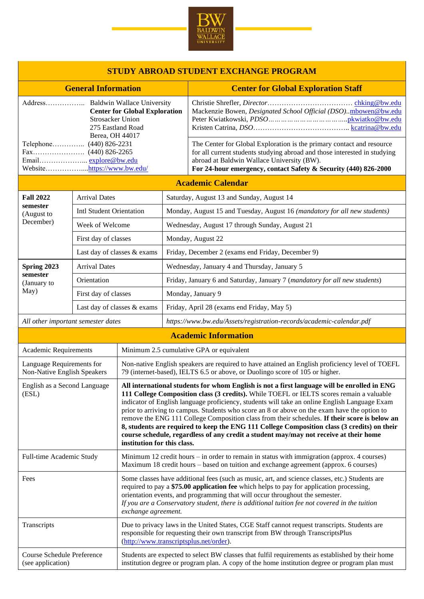

| <b>STUDY ABROAD STUDENT EXCHANGE PROGRAM</b>                                                                                                                             |                                 |                                                                                                                                                                                                                                                                                                                                                                                                                                                                                                                                                                                                                                                                                                                  |                                                                                                                                                                                                                            |                                                                                                                                                                                                                      |  |  |
|--------------------------------------------------------------------------------------------------------------------------------------------------------------------------|---------------------------------|------------------------------------------------------------------------------------------------------------------------------------------------------------------------------------------------------------------------------------------------------------------------------------------------------------------------------------------------------------------------------------------------------------------------------------------------------------------------------------------------------------------------------------------------------------------------------------------------------------------------------------------------------------------------------------------------------------------|----------------------------------------------------------------------------------------------------------------------------------------------------------------------------------------------------------------------------|----------------------------------------------------------------------------------------------------------------------------------------------------------------------------------------------------------------------|--|--|
| <b>General Information</b>                                                                                                                                               |                                 |                                                                                                                                                                                                                                                                                                                                                                                                                                                                                                                                                                                                                                                                                                                  |                                                                                                                                                                                                                            | <b>Center for Global Exploration Staff</b>                                                                                                                                                                           |  |  |
| <b>Baldwin Wallace University</b><br><b>Center for Global Exploration</b><br><b>Strosacker Union</b><br>275 Eastland Road<br>Berea, OH 44017<br>Telephone (440) 826-2231 |                                 |                                                                                                                                                                                                                                                                                                                                                                                                                                                                                                                                                                                                                                                                                                                  |                                                                                                                                                                                                                            | Mackenzie Bowen, Designated School Official (DSO)mbowen@bw.edu<br>The Center for Global Exploration is the primary contact and resource<br>for all current students studying abroad and those interested in studying |  |  |
| Email explore@bw.edu<br>Websitehttps://www.bw.edu/                                                                                                                       |                                 |                                                                                                                                                                                                                                                                                                                                                                                                                                                                                                                                                                                                                                                                                                                  |                                                                                                                                                                                                                            | abroad at Baldwin Wallace University (BW).<br>For 24-hour emergency, contact Safety & Security (440) 826-2000                                                                                                        |  |  |
|                                                                                                                                                                          |                                 |                                                                                                                                                                                                                                                                                                                                                                                                                                                                                                                                                                                                                                                                                                                  |                                                                                                                                                                                                                            | <b>Academic Calendar</b>                                                                                                                                                                                             |  |  |
| <b>Fall 2022</b>                                                                                                                                                         | <b>Arrival Dates</b>            |                                                                                                                                                                                                                                                                                                                                                                                                                                                                                                                                                                                                                                                                                                                  | Saturday, August 13 and Sunday, August 14                                                                                                                                                                                  |                                                                                                                                                                                                                      |  |  |
| semester<br>(August to                                                                                                                                                   | <b>Intl Student Orientation</b> |                                                                                                                                                                                                                                                                                                                                                                                                                                                                                                                                                                                                                                                                                                                  |                                                                                                                                                                                                                            | Monday, August 15 and Tuesday, August 16 (mandatory for all new students)                                                                                                                                            |  |  |
| December)                                                                                                                                                                | Week of Welcome                 |                                                                                                                                                                                                                                                                                                                                                                                                                                                                                                                                                                                                                                                                                                                  |                                                                                                                                                                                                                            | Wednesday, August 17 through Sunday, August 21                                                                                                                                                                       |  |  |
|                                                                                                                                                                          | First day of classes            |                                                                                                                                                                                                                                                                                                                                                                                                                                                                                                                                                                                                                                                                                                                  |                                                                                                                                                                                                                            | Monday, August 22                                                                                                                                                                                                    |  |  |
|                                                                                                                                                                          | Last day of classes & exams     |                                                                                                                                                                                                                                                                                                                                                                                                                                                                                                                                                                                                                                                                                                                  |                                                                                                                                                                                                                            | Friday, December 2 (exams end Friday, December 9)                                                                                                                                                                    |  |  |
| Spring 2023<br>semester                                                                                                                                                  | <b>Arrival Dates</b>            |                                                                                                                                                                                                                                                                                                                                                                                                                                                                                                                                                                                                                                                                                                                  | Wednesday, January 4 and Thursday, January 5                                                                                                                                                                               |                                                                                                                                                                                                                      |  |  |
| (January to                                                                                                                                                              | Orientation                     |                                                                                                                                                                                                                                                                                                                                                                                                                                                                                                                                                                                                                                                                                                                  | Friday, January 6 and Saturday, January 7 (mandatory for all new students)                                                                                                                                                 |                                                                                                                                                                                                                      |  |  |
| May)                                                                                                                                                                     | First day of classes            |                                                                                                                                                                                                                                                                                                                                                                                                                                                                                                                                                                                                                                                                                                                  | Monday, January 9                                                                                                                                                                                                          |                                                                                                                                                                                                                      |  |  |
|                                                                                                                                                                          | Last day of classes & exams     |                                                                                                                                                                                                                                                                                                                                                                                                                                                                                                                                                                                                                                                                                                                  | Friday, April 28 (exams end Friday, May 5)                                                                                                                                                                                 |                                                                                                                                                                                                                      |  |  |
| All other important semester dates                                                                                                                                       |                                 |                                                                                                                                                                                                                                                                                                                                                                                                                                                                                                                                                                                                                                                                                                                  | https://www.bw.edu/Assets/registration-records/academic-calendar.pdf                                                                                                                                                       |                                                                                                                                                                                                                      |  |  |
|                                                                                                                                                                          |                                 |                                                                                                                                                                                                                                                                                                                                                                                                                                                                                                                                                                                                                                                                                                                  |                                                                                                                                                                                                                            | <b>Academic Information</b>                                                                                                                                                                                          |  |  |
| Academic Requirements                                                                                                                                                    |                                 | Minimum 2.5 cumulative GPA or equivalent                                                                                                                                                                                                                                                                                                                                                                                                                                                                                                                                                                                                                                                                         |                                                                                                                                                                                                                            |                                                                                                                                                                                                                      |  |  |
| Language Requirements for<br>Non-Native English Speakers                                                                                                                 |                                 | Non-native English speakers are required to have attained an English proficiency level of TOEFL<br>79 (internet-based), IELTS 6.5 or above, or Duolingo score of 105 or higher.                                                                                                                                                                                                                                                                                                                                                                                                                                                                                                                                  |                                                                                                                                                                                                                            |                                                                                                                                                                                                                      |  |  |
| English as a Second Language<br>(ESL)                                                                                                                                    |                                 | All international students for whom English is not a first language will be enrolled in ENG<br>111 College Composition class (3 credits). While TOEFL or IELTS scores remain a valuable<br>indicator of English language proficiency, students will take an online English Language Exam<br>prior to arriving to campus. Students who score an 8 or above on the exam have the option to<br>remove the ENG 111 College Composition class from their schedules. If their score is below an<br>8, students are required to keep the ENG 111 College Composition class (3 credits) on their<br>course schedule, regardless of any credit a student may/may not receive at their home<br>institution for this class. |                                                                                                                                                                                                                            |                                                                                                                                                                                                                      |  |  |
| Full-time Academic Study                                                                                                                                                 |                                 |                                                                                                                                                                                                                                                                                                                                                                                                                                                                                                                                                                                                                                                                                                                  | Minimum 12 credit hours $-$ in order to remain in status with immigration (approx. 4 courses)<br>Maximum 18 credit hours – based on tuition and exchange agreement (approx. 6 courses)                                     |                                                                                                                                                                                                                      |  |  |
| Fees                                                                                                                                                                     |                                 | Some classes have additional fees (such as music, art, and science classes, etc.) Students are<br>required to pay a \$75.00 application fee which helps to pay for application processing,<br>orientation events, and programming that will occur throughout the semester.<br>If you are a Conservatory student, there is additional tuition fee not covered in the tuition<br>exchange agreement.                                                                                                                                                                                                                                                                                                               |                                                                                                                                                                                                                            |                                                                                                                                                                                                                      |  |  |
| Transcripts                                                                                                                                                              |                                 |                                                                                                                                                                                                                                                                                                                                                                                                                                                                                                                                                                                                                                                                                                                  | Due to privacy laws in the United States, CGE Staff cannot request transcripts. Students are<br>responsible for requesting their own transcript from BW through TranscriptsPlus<br>(http://www.transcriptsplus.net/order). |                                                                                                                                                                                                                      |  |  |
| Course Schedule Preference<br>(see application)                                                                                                                          |                                 | Students are expected to select BW classes that fulfil requirements as established by their home<br>institution degree or program plan. A copy of the home institution degree or program plan must                                                                                                                                                                                                                                                                                                                                                                                                                                                                                                               |                                                                                                                                                                                                                            |                                                                                                                                                                                                                      |  |  |